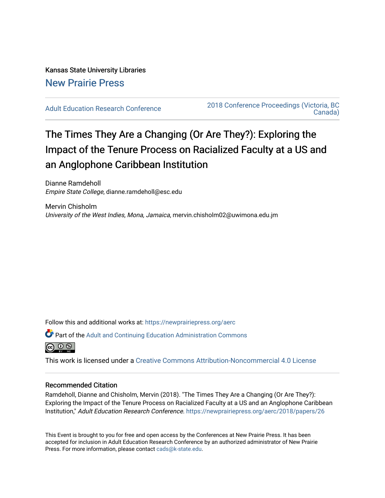# Kansas State University Libraries [New Prairie Press](https://newprairiepress.org/)

[Adult Education Research Conference](https://newprairiepress.org/aerc) [2018 Conference Proceedings \(Victoria, BC](https://newprairiepress.org/aerc/2018)  [Canada\)](https://newprairiepress.org/aerc/2018) 

# The Times They Are a Changing (Or Are They?): Exploring the Impact of the Tenure Process on Racialized Faculty at a US and an Anglophone Caribbean Institution

Dianne Ramdeholl Empire State College, dianne.ramdeholl@esc.edu

Mervin Chisholm University of the West Indies, Mona, Jamaica, mervin.chisholm02@uwimona.edu.jm

Follow this and additional works at: [https://newprairiepress.org/aerc](https://newprairiepress.org/aerc?utm_source=newprairiepress.org%2Faerc%2F2018%2Fpapers%2F26&utm_medium=PDF&utm_campaign=PDFCoverPages)

Part of the [Adult and Continuing Education Administration Commons](http://network.bepress.com/hgg/discipline/789?utm_source=newprairiepress.org%2Faerc%2F2018%2Fpapers%2F26&utm_medium=PDF&utm_campaign=PDFCoverPages)

@ 0 ®

This work is licensed under a [Creative Commons Attribution-Noncommercial 4.0 License](https://creativecommons.org/licenses/by-nc/4.0/)

# Recommended Citation

Ramdeholl, Dianne and Chisholm, Mervin (2018). "The Times They Are a Changing (Or Are They?): Exploring the Impact of the Tenure Process on Racialized Faculty at a US and an Anglophone Caribbean Institution," Adult Education Research Conference.<https://newprairiepress.org/aerc/2018/papers/26>

This Event is brought to you for free and open access by the Conferences at New Prairie Press. It has been accepted for inclusion in Adult Education Research Conference by an authorized administrator of New Prairie Press. For more information, please contact [cads@k-state.edu.](mailto:cads@k-state.edu)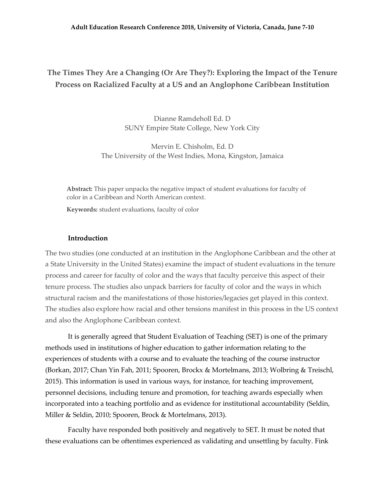# **The Times They Are a Changing (Or Are They?): Exploring the Impact of the Tenure Process on Racialized Faculty at a US and an Anglophone Caribbean Institution**

Dianne Ramdeholl Ed. D SUNY Empire State College, New York City

Mervin E. Chisholm, Ed. D The University of the West Indies, Mona, Kingston, Jamaica

**Abstract:** This paper unpacks the negative impact of student evaluations for faculty of color in a Caribbean and North American context.

**Keywords:** student evaluations, faculty of color

# **Introduction**

The two studies (one conducted at an institution in the Anglophone Caribbean and the other at a State University in the United States) examine the impact of student evaluations in the tenure process and career for faculty of color and the ways that faculty perceive this aspect of their tenure process. The studies also unpack barriers for faculty of color and the ways in which structural racism and the manifestations of those histories/legacies get played in this context. The studies also explore how racial and other tensions manifest in this process in the US context and also the Anglophone Caribbean context.

It is generally agreed that Student Evaluation of Teaching (SET) is one of the primary methods used in institutions of higher education to gather information relating to the experiences of students with a course and to evaluate the teaching of the course instructor (Borkan, 2017; Chan Yin Fah, 2011; Spooren, Brockx & Mortelmans, 2013; Wolbring & Treischl, 2015). This information is used in various ways, for instance, for teaching improvement, personnel decisions, including tenure and promotion, for teaching awards especially when incorporated into a teaching portfolio and as evidence for institutional accountability (Seldin, Miller & Seldin, 2010; Spooren, Brock & Mortelmans, 2013).

Faculty have responded both positively and negatively to SET. It must be noted that these evaluations can be oftentimes experienced as validating and unsettling by faculty. Fink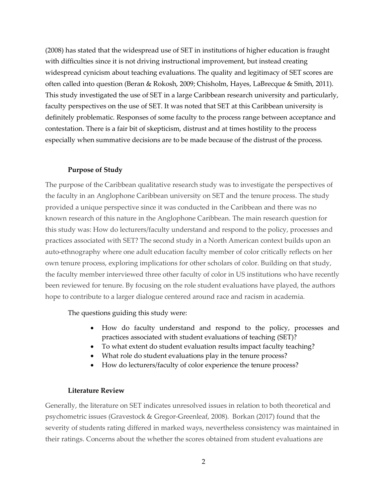(2008) has stated that the widespread use of SET in institutions of higher education is fraught with difficulties since it is not driving instructional improvement, but instead creating widespread cynicism about teaching evaluations. The quality and legitimacy of SET scores are often called into question (Beran & Rokosh, 2009; Chisholm, Hayes, LaBrecque & Smith, 2011). This study investigated the use of SET in a large Caribbean research university and particularly, faculty perspectives on the use of SET. It was noted that SET at this Caribbean university is definitely problematic. Responses of some faculty to the process range between acceptance and contestation. There is a fair bit of skepticism, distrust and at times hostility to the process especially when summative decisions are to be made because of the distrust of the process.

## **Purpose of Study**

The purpose of the Caribbean qualitative research study was to investigate the perspectives of the faculty in an Anglophone Caribbean university on SET and the tenure process. The study provided a unique perspective since it was conducted in the Caribbean and there was no known research of this nature in the Anglophone Caribbean. The main research question for this study was: How do lecturers/faculty understand and respond to the policy, processes and practices associated with SET? The second study in a North American context builds upon an auto-ethnography where one adult education faculty member of color critically reflects on her own tenure process, exploring implications for other scholars of color. Building on that study, the faculty member interviewed three other faculty of color in US institutions who have recently been reviewed for tenure. By focusing on the role student evaluations have played, the authors hope to contribute to a larger dialogue centered around race and racism in academia.

The questions guiding this study were:

- How do faculty understand and respond to the policy, processes and practices associated with student evaluations of teaching (SET)?
- To what extent do student evaluation results impact faculty teaching?
- What role do student evaluations play in the tenure process?
- How do lecturers/faculty of color experience the tenure process?

# **Literature Review**

Generally, the literature on SET indicates unresolved issues in relation to both theoretical and psychometric issues (Gravestock & Gregor-Greenleaf, 2008). Borkan (2017) found that the severity of students rating differed in marked ways, nevertheless consistency was maintained in their ratings. Concerns about the whether the scores obtained from student evaluations are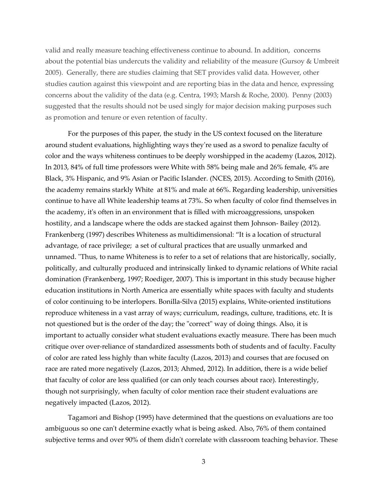valid and really measure teaching effectiveness continue to abound. In addition, concerns about the potential bias undercuts the validity and reliability of the measure (Gursoy & Umbreit 2005). Generally, there are studies claiming that SET provides valid data. However, other studies caution against this viewpoint and are reporting bias in the data and hence, expressing concerns about the validity of the data (e.g. Centra, 1993; Marsh & Roche, 2000). Penny (2003) suggested that the results should not be used singly for major decision making purposes such as promotion and tenure or even retention of faculty.

For the purposes of this paper, the study in the US context focused on the literature around student evaluations, highlighting ways they're used as a sword to penalize faculty of color and the ways whiteness continues to be deeply worshipped in the academy (Lazos, 2012). In 2013, 84% of full time professors were White with 58% being male and 26% female, 4% are Black, 3% Hispanic, and 9% Asian or Pacific Islander. (NCES, 2015). According to Smith (2016), the academy remains starkly White at 81% and male at 66%. Regarding leadership, universities continue to have all White leadership teams at 73%. So when faculty of color find themselves in the academy, it's often in an environment that is filled with microaggressions, unspoken hostility, and a landscape where the odds are stacked against them Johnson- Bailey (2012). Frankenberg (1997) describes Whiteness as multidimensional: "It is a location of structural advantage, of race privilege; a set of cultural practices that are usually unmarked and unnamed. "Thus, to name Whiteness is to refer to a set of relations that are historically, socially, politically, and culturally produced and intrinsically linked to dynamic relations of White racial domination (Frankenberg, 1997; Roediger, 2007). This is important in this study because higher education institutions in North America are essentially white spaces with faculty and students of color continuing to be interlopers. Bonilla-Silva (2015) explains, White-oriented institutions reproduce whiteness in a vast array of ways; curriculum, readings, culture, traditions, etc. It is not questioned but is the order of the day; the "correct" way of doing things. Also, it is important to actually consider what student evaluations exactly measure. There has been much critique over over-reliance of standardized assessments both of students and of faculty. Faculty of color are rated less highly than white faculty (Lazos, 2013) and courses that are focused on race are rated more negatively (Lazos, 2013; Ahmed, 2012). In addition, there is a wide belief that faculty of color are less qualified (or can only teach courses about race). Interestingly, though not surprisingly, when faculty of color mention race their student evaluations are negatively impacted (Lazos, 2012).

Tagamori and Bishop (1995) have determined that the questions on evaluations are too ambiguous so one can't determine exactly what is being asked. Also, 76% of them contained subjective terms and over 90% of them didn't correlate with classroom teaching behavior. These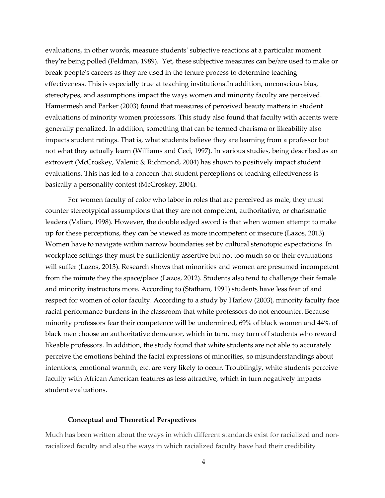evaluations, in other words, measure students' subjective reactions at a particular moment they're being polled (Feldman, 1989). Yet, these subjective measures can be/are used to make or break people's careers as they are used in the tenure process to determine teaching effectiveness. This is especially true at teaching institutions.In addition, unconscious bias, stereotypes, and assumptions impact the ways women and minority faculty are perceived. Hamermesh and Parker (2003) found that measures of perceived beauty matters in student evaluations of minority women professors. This study also found that faculty with accents were generally penalized. In addition, something that can be termed charisma or likeability also impacts student ratings. That is, what students believe they are learning from a professor but not what they actually learn (Williams and Ceci, 1997). In various studies, being described as an extrovert (McCroskey, Valenic & Richmond, 2004) has shown to positively impact student evaluations. This has led to a concern that student perceptions of teaching effectiveness is basically a personality contest (McCroskey, 2004).

For women faculty of color who labor in roles that are perceived as male, they must counter stereotypical assumptions that they are not competent, authoritative, or charismatic leaders (Valian, 1998). However, the double edged sword is that when women attempt to make up for these perceptions, they can be viewed as more incompetent or insecure (Lazos, 2013). Women have to navigate within narrow boundaries set by cultural stenotopic expectations. In workplace settings they must be sufficiently assertive but not too much so or their evaluations will suffer (Lazos, 2013). Research shows that minorities and women are presumed incompetent from the minute they the space/place (Lazos, 2012). Students also tend to challenge their female and minority instructors more. According to (Statham, 1991) students have less fear of and respect for women of color faculty. According to a study by Harlow (2003), minority faculty face racial performance burdens in the classroom that white professors do not encounter. Because minority professors fear their competence will be undermined, 69% of black women and 44% of black men choose an authoritative demeanor, which in turn, may turn off students who reward likeable professors. In addition, the study found that white students are not able to accurately perceive the emotions behind the facial expressions of minorities, so misunderstandings about intentions, emotional warmth, etc. are very likely to occur. Troublingly, white students perceive faculty with African American features as less attractive, which in turn negatively impacts student evaluations.

### **Conceptual and Theoretical Perspectives**

Much has been written about the ways in which different standards exist for racialized and nonracialized faculty and also the ways in which racialized faculty have had their credibility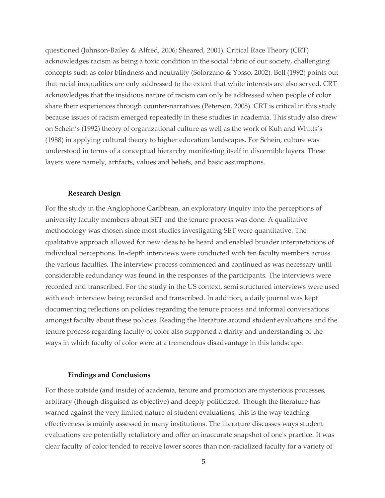questioned (Johnson-Bailey & Alfred, 2006; Sheared, 2001). Critical Race Theory (CRT) acknowledges racism as being a toxic condition in the social fabric of our society, challenging concepts such as color blindness and neutrality (Solorzano & Yosso, 2002). Bell (1992) points out that racial inequalities are only addressed to the extent that white interests are also served. CRT acknowledges that the insidious nature of racism can only be addressed when people of color share their experiences through counter-narratives (Peterson, 2008). CRT is critical in this study because issues of racism emerged repeatedly in these studies in academia. This study also drew on Schein's (1992) theory of organizational culture as well as the work of Kuh and Whitts's (1988) in applying cultural theory to higher education landscapes. For Schein, culture was understood in terms of a conceptual hierarchy manifesting itself in discernible layers. These layers were namely, artifacts, values and beliefs, and basic assumptions.

#### **Research Design**

For the study in the Anglophone Caribbean, an exploratory inquiry into the perceptions of university faculty members about SET and the tenure process was done. A qualitative methodology was chosen since most studies investigating SET were quantitative. The qualitative approach allowed for new ideas to be heard and enabled broader interpretations of individual perceptions. In-depth interviews were conducted with ten faculty members across the various faculties. The interview process commenced and continued as was necessary until considerable redundancy was found in the responses of the participants. The interviews were recorded and transcribed. For the study in the US context, semi structured interviews were used with each interview being recorded and transcribed. In addition, a daily journal was kept documenting reflections on policies regarding the tenure process and informal conversations amongst faculty about these policies. Reading the literature around student evaluations and the tenure process regarding faculty of color also supported a clarity and understanding of the ways in which faculty of color were at a tremendous disadvantage in this landscape.

#### **Findings and Conclusions**

For those outside (and inside) of academia, tenure and promotion are mysterious processes, arbitrary (though disguised as objective) and deeply politicized. Though the literature has warned against the very limited nature of student evaluations, this is the way teaching effectiveness is mainly assessed in many institutions. The literature discusses ways student evaluations are potentially retaliatory and offer an inaccurate snapshot of one's practice. It was clear faculty of color tended to receive lower scores than non-racialized faculty for a variety of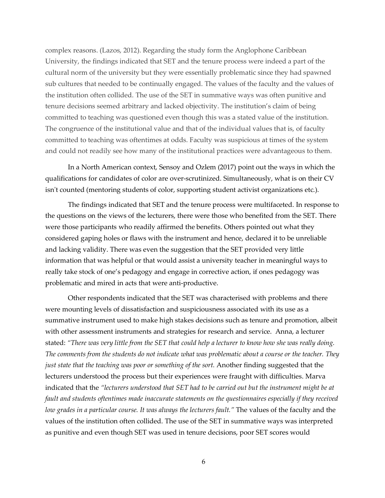complex reasons. (Lazos, 2012). Regarding the study form the Anglophone Caribbean University, the findings indicated that SET and the tenure process were indeed a part of the cultural norm of the university but they were essentially problematic since they had spawned sub cultures that needed to be continually engaged. The values of the faculty and the values of the institution often collided. The use of the SET in summative ways was often punitive and tenure decisions seemed arbitrary and lacked objectivity. The institution's claim of being committed to teaching was questioned even though this was a stated value of the institution. The congruence of the institutional value and that of the individual values that is, of faculty committed to teaching was oftentimes at odds. Faculty was suspicious at times of the system and could not readily see how many of the institutional practices were advantageous to them.

In a North American context, Sensoy and Ozlem (2017) point out the ways in which the qualifications for candidates of color are over-scrutinized. Simultaneously, what is on their CV isn't counted (mentoring students of color, supporting student activist organizations etc.).

The findings indicated that SET and the tenure process were multifaceted. In response to the questions on the views of the lecturers, there were those who benefited from the SET. There were those participants who readily affirmed the benefits. Others pointed out what they considered gaping holes or flaws with the instrument and hence, declared it to be unreliable and lacking validity. There was even the suggestion that the SET provided very little information that was helpful or that would assist a university teacher in meaningful ways to really take stock of one's pedagogy and engage in corrective action, if ones pedagogy was problematic and mired in acts that were anti-productive.

Other respondents indicated that the SET was characterised with problems and there were mounting levels of dissatisfaction and suspiciousness associated with its use as a summative instrument used to make high stakes decisions such as tenure and promotion, albeit with other assessment instruments and strategies for research and service. Anna, a lecturer stated: *"There was very little from the SET that could help a lecturer to know how she was really doing. The comments from the students do not indicate what was problematic about a course or the teacher. They*  just state that the teaching was poor or something of the sort. Another finding suggested that the lecturers understood the process but their experiences were fraught with difficulties. Marva indicated that the *"lecturers understood that SET had to be carried out but the instrument might be at fault and students oftentimes made inaccurate statements on the questionnaires especially if they received low grades in a particular course. It was always the lecturers fault."* The values of the faculty and the values of the institution often collided. The use of the SET in summative ways was interpreted as punitive and even though SET was used in tenure decisions, poor SET scores would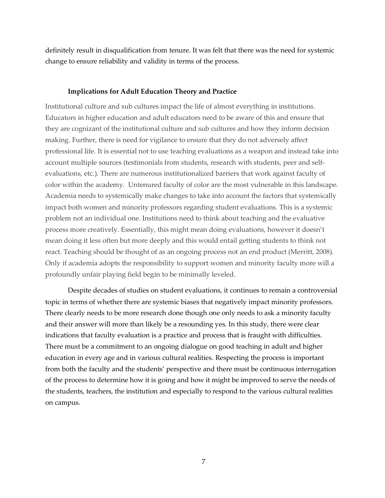definitely result in disqualification from tenure. It was felt that there was the need for systemic change to ensure reliability and validity in terms of the process.

#### **Implications for Adult Education Theory and Practice**

Institutional culture and sub cultures impact the life of almost everything in institutions. Educators in higher education and adult educators need to be aware of this and ensure that they are cognizant of the institutional culture and sub cultures and how they inform decision making. Further, there is need for vigilance to ensure that they do not adversely affect professional life. It is essential not to use teaching evaluations as a weapon and instead take into account multiple sources (testimonials from students, research with students, peer and selfevaluations, etc.). There are numerous institutionalized barriers that work against faculty of color within the academy. Untenured faculty of color are the most vulnerable in this landscape. Academia needs to systemically make changes to take into account the factors that systemically impact both women and minority professors regarding student evaluations. This is a systemic problem not an individual one. Institutions need to think about teaching and the evaluative process more creatively. Essentially, this might mean doing evaluations, however it doesn't mean doing it less often but more deeply and this would entail getting students to think not react. Teaching should be thought of as an ongoing process not an end product (Merritt, 2008). Only if academia adopts the responsibility to support women and minority faculty more will a profoundly unfair playing field begin to be minimally leveled.

Despite decades of studies on student evaluations, it continues to remain a controversial topic in terms of whether there are systemic biases that negatively impact minority professors. There clearly needs to be more research done though one only needs to ask a minority faculty and their answer will more than likely be a resounding yes. In this study, there were clear indications that faculty evaluation is a practice and process that is fraught with difficulties. There must be a commitment to an ongoing dialogue on good teaching in adult and higher education in every age and in various cultural realities. Respecting the process is important from both the faculty and the students' perspective and there must be continuous interrogation of the process to determine how it is going and how it might be improved to serve the needs of the students, teachers, the institution and especially to respond to the various cultural realities on campus.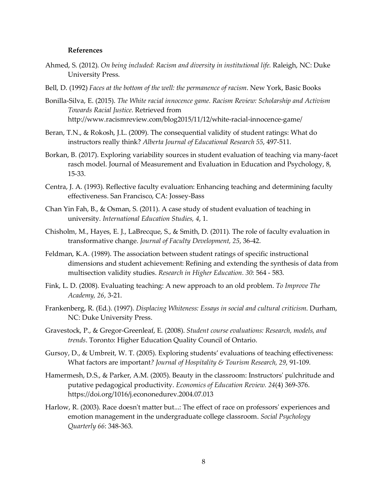### **References**

- Ahmed, S. (2012). *On being included: Racism and diversity in institutional life.* Raleigh, NC: Duke University Press.
- Bell, D. (1992) *Faces at the bottom of the well: the permanence of racism*. New York, Basic Books
- Bonilla-Silva, E. (2015). *The White racial innocence game. Racism Review: Scholarship and Activism Towards Racial Justice*. Retrieved from http://www.racismreview.com/blog2015/11/12/white-racial-innocence-game/
- Beran, T.N., & Rokosh, J.L. (2009). The consequential validity of student ratings: What do instructors really think? *Alberta Journal of Educational Research 55*, 497-511.
- Borkan, B. (2017). Exploring variability sources in student evaluation of teaching via many-facet rasch model. Journal of Measurement and Evaluation in Education and Psychology, 8, 15-33.
- Centra, J. A. (1993). Reflective faculty evaluation: Enhancing teaching and determining faculty effectiveness. San Francisco, CA: Jossey-Bass
- Chan Yin Fah, B., & Osman, S. (2011). A case study of student evaluation of teaching in university. *International Education Studies, 4*, 1.
- Chisholm, M., Hayes, E. J., LaBrecque, S., & Smith, D. (2011). The role of faculty evaluation in transformative change. *Journal of Faculty Development, 25*, 36-42.
- Feldman, K.A. (1989). The association between student ratings of specific instructional dimensions and student achievement: Refining and extending the synthesis of data from multisection validity studies. *Research in Higher Education. 30*: 564 - 583.
- Fink, L. D. (2008). Evaluating teaching: A new approach to an old problem. *To Improve The Academy, 26*, 3-21.
- Frankenberg, R. (Ed.). (1997). *Displacing Whiteness: Essays in social and cultural criticism*. Durham, NC: Duke University Press.
- Gravestock, P., & Gregor-Greenleaf, E. (2008). *Student course evaluations: Research, models, and trends*. Toronto: Higher Education Quality Council of Ontario.
- Gursoy, D., & Umbreit, W. T. (2005). Exploring students' evaluations of teaching effectiveness: What factors are important*? Journal of Hospitality & Tourism Research, 29*, 91-109.
- Hamermesh, D.S., & Parker, A.M. (2005). Beauty in the classroom: Instructors' pulchritude and putative pedagogical productivity. *Economics of Education Review. 24*(4) 369-376. https://doi.org/1016/j.econonedurev.2004.07.013
- Harlow, R. (2003). Race doesn't matter but...: The effect of race on professors' experiences and emotion management in the undergraduate college classroom. *Social Psychology Quarterly 66*: 348-363.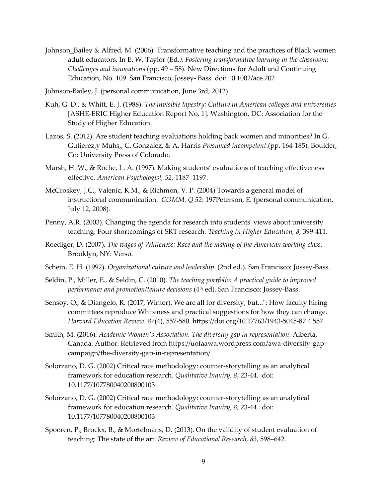- Johnson Bailey & Alfred, M. (2006). Transformative teaching and the practices of Black women adult educators**.** In E. W. Taylor (Ed*.), Fostering transformative learning in the classroom: Challenges and innovations* (pp. 49 – 58). New Directions for Adult and Continuing Education, No. 109. San Francisco, Jossey- Bass. doi: 10.1002/ace.202
- Johnson-Bailey, J. (personal communication, June 3rd, 2012)
- Kuh, G. D., & Whitt, E. J. (1988). *The invisible tapestry: Culture in American colleges and universities* [ASHE-ERIC Higher Education Report No. 1]. Washington, DC: Association for the Study of Higher Education.
- Lazos, S. (2012). Are student teaching evaluations holding back women and minorities? In G. Gutierez,y Muhs,, C. Gonzalez, & A. Harris *Presumed incompetent*.(pp. 164-185). Boulder, Co: University Press of Colorado.
- Marsh, H. W., & Roche, L. A. (1997). Making students' evaluations of teaching effectiveness effective. *American Psychologist, 52*, 1187–1197.
- McCroskey, J.C., Valenic, K.M., & Richmon, V. P. (2004) Towards a general model of instructional communication. *COMM. Q 52*: 197Peterson, E. (personal communication, July 12, 2008).
- Penny, A.R. (2003). Changing the agenda for research into students' views about university teaching: Four shortcomings of SRT research. *Teaching in Higher Education, 8*, 399-411.
- Roediger, D. (2007). *The wages of Whiteness: Race and the making of the American working class.* Brooklyn, NY: Verso.
- Schein, E. H. (1992). *Organizational culture and leadership*. (2nd ed.). San Francisco: Jossey-Bass.
- Seldin, P., Miller, E., & Seldin, C. (2010). *The teaching portfolio: A practical guide to improved performance and promotion/tenure decisions* (4<sup>th</sup> ed). San Francisco: Jossey-Bass.
- Sensoy, O., & Diangelo, R. (2017, Winter). We are all for diversity, but...": How faculty hiring committees reproduce Whiteness and practical suggestions for how they can change. *Harvard Education Review. 87*(4), 557-580. https://doi.org/10.17763/1943-5045-87.4.557
- Smith, M. (2016). *Academic Women's Association. The diversity gap in representation*. Alberta, Canada. Author. Retrieved from https://uofaawa.wordpress.com/awa-diversity-gapcampaign/the-diversity-gap-in-representation/
- Solorzano, D. G. (2002) Critical race methodology: counter-storytelling as an analytical framework for education research. *Qualitative Inquiry, 8*, 23-44. doi: 10.1177/107780040200800103
- Solorzano, D. G. (2002) Critical race methodology: counter-storytelling as an analytical framework for education research. *Qualitative Inquiry, 8,* 23-44. doi: 10.1177/107780040200800103
- Spooren, P., Brockx, B., & Mortelmans, D. (2013). On the validity of student evaluation of teaching: The state of the art. *Review of Educational Research, 83*, 598–642.